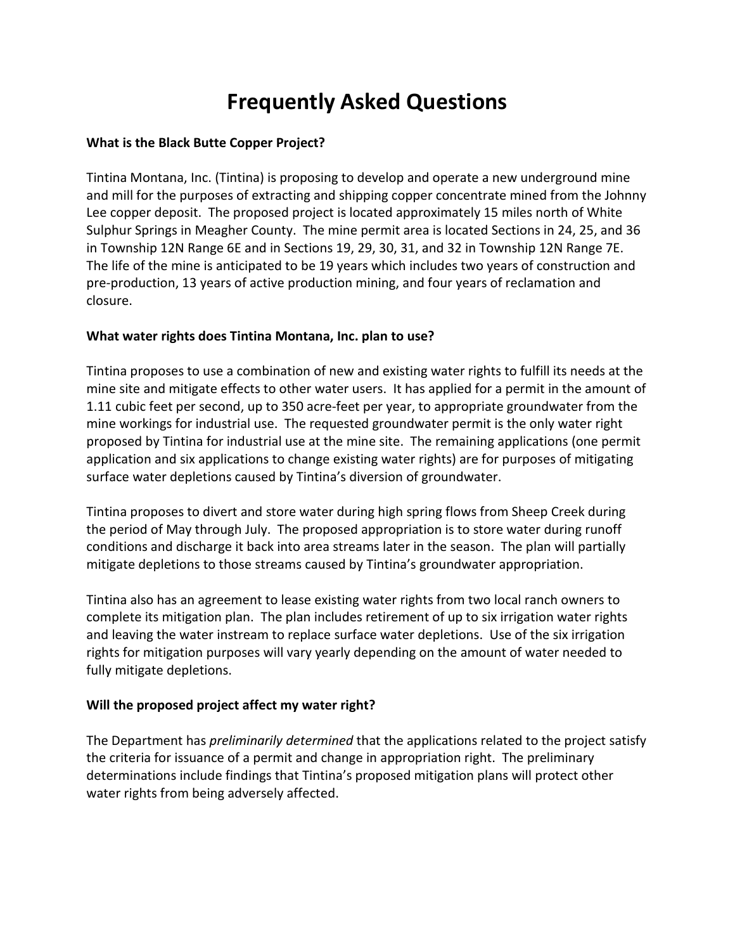# **Frequently Asked Questions**

## **What is the Black Butte Copper Project?**

Tintina Montana, Inc. (Tintina) is proposing to develop and operate a new underground mine and mill for the purposes of extracting and shipping copper concentrate mined from the Johnny Lee copper deposit. The proposed project is located approximately 15 miles north of White Sulphur Springs in Meagher County. The mine permit area is located Sections in 24, 25, and 36 in Township 12N Range 6E and in Sections 19, 29, 30, 31, and 32 in Township 12N Range 7E. The life of the mine is anticipated to be 19 years which includes two years of construction and pre-production, 13 years of active production mining, and four years of reclamation and closure.

### **What water rights does Tintina Montana, Inc. plan to use?**

Tintina proposes to use a combination of new and existing water rights to fulfill its needs at the mine site and mitigate effects to other water users. It has applied for a permit in the amount of 1.11 cubic feet per second, up to 350 acre-feet per year, to appropriate groundwater from the mine workings for industrial use. The requested groundwater permit is the only water right proposed by Tintina for industrial use at the mine site. The remaining applications (one permit application and six applications to change existing water rights) are for purposes of mitigating surface water depletions caused by Tintina's diversion of groundwater.

Tintina proposes to divert and store water during high spring flows from Sheep Creek during the period of May through July. The proposed appropriation is to store water during runoff conditions and discharge it back into area streams later in the season. The plan will partially mitigate depletions to those streams caused by Tintina's groundwater appropriation.

Tintina also has an agreement to lease existing water rights from two local ranch owners to complete its mitigation plan. The plan includes retirement of up to six irrigation water rights and leaving the water instream to replace surface water depletions. Use of the six irrigation rights for mitigation purposes will vary yearly depending on the amount of water needed to fully mitigate depletions.

# **Will the proposed project affect my water right?**

The Department has *preliminarily determined* that the applications related to the project satisfy the criteria for issuance of a permit and change in appropriation right. The preliminary determinations include findings that Tintina's proposed mitigation plans will protect other water rights from being adversely affected.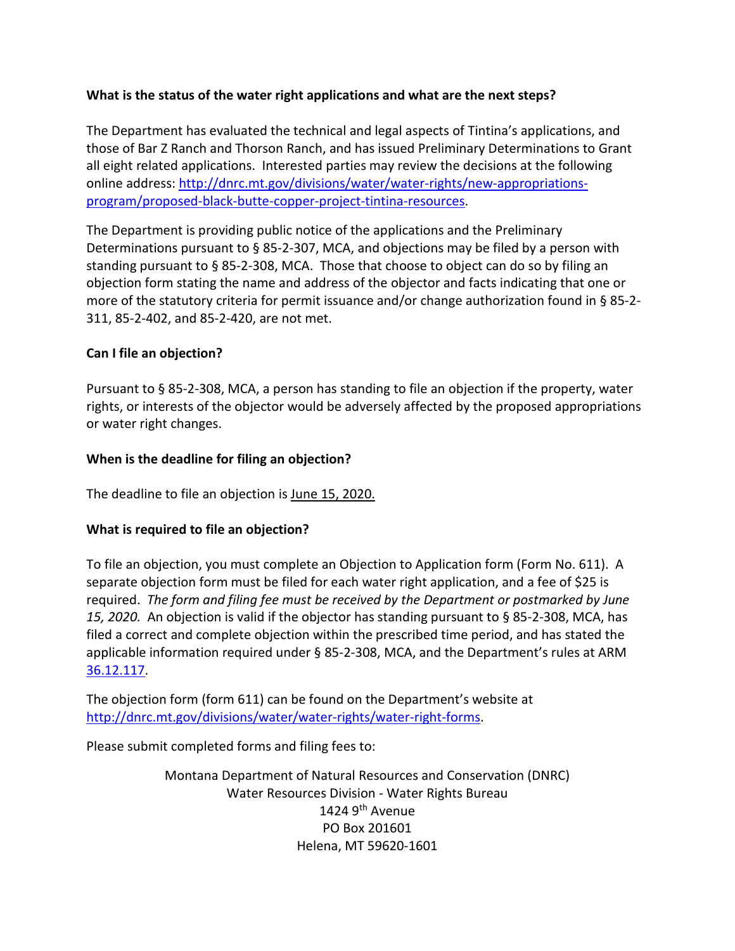## **What is the status of the water right applications and what are the next steps?**

The Department has evaluated the technical and legal aspects of Tintina's applications, and those of Bar Z Ranch and Thorson Ranch, and has issued Preliminary Determinations to Grant all eight related applications. Interested parties may review the decisions at the following online address: [http://dnrc.mt.gov/divisions/water/water-rights/new-appropriations](http://dnrc.mt.gov/divisions/water/water-rights/new-appropriations-program/proposed-black-butte-copper-project-tintina-resources)[program/proposed-black-butte-copper-project-tintina-resources.](http://dnrc.mt.gov/divisions/water/water-rights/new-appropriations-program/proposed-black-butte-copper-project-tintina-resources)

The Department is providing public notice of the applications and the Preliminary Determinations pursuant to  $\S$  85-2-307, MCA, and objections may be filed by a person with standing pursuant to § 85-2-308, MCA. Those that choose to object can do so by filing an objection form stating the name and address of the objector and facts indicating that one or more of the statutory criteria for permit issuance and/or change authorization found in § 85-2- 311, 85-2-402, and 85-2-420, are not met.

### **Can I file an objection?**

Pursuant to § 85-2-308, MCA, a person has standing to file an objection if the property, water rights, or interests of the objector would be adversely affected by the proposed appropriations or water right changes.

### **When is the deadline for filing an objection?**

The deadline to file an objection is June 15, 2020.

#### **What is required to file an objection?**

To file an objection, you must complete an Objection to Application form (Form No. 611). A separate objection form must be filed for each water right application, and a fee of \$25 is required. *The form and filing fee must be received by the Department or postmarked by June 15, 2020.* An objection is valid if the objector has standing pursuant to § 85-2-308, MCA, has filed a correct and complete objection within the prescribed time period, and has stated the applicable information required under § 85-2-308, MCA, and the Department's rules at ARM [36.12.117.](http://www.mtrules.org/gateway/RuleNo.asp?RN=36%2E12%2E117)

The objection form (form 611) can be found on the Department's website at [http://dnrc.mt.gov/divisions/water/water-rights/water-right-forms.](http://dnrc.mt.gov/divisions/water/water-rights/water-right-forms)

Please submit completed forms and filing fees to:

Montana Department of Natural Resources and Conservation (DNRC) Water Resources Division - Water Rights Bureau 1424  $9<sup>th</sup>$  Avenue PO Box 201601 Helena, MT 59620-1601